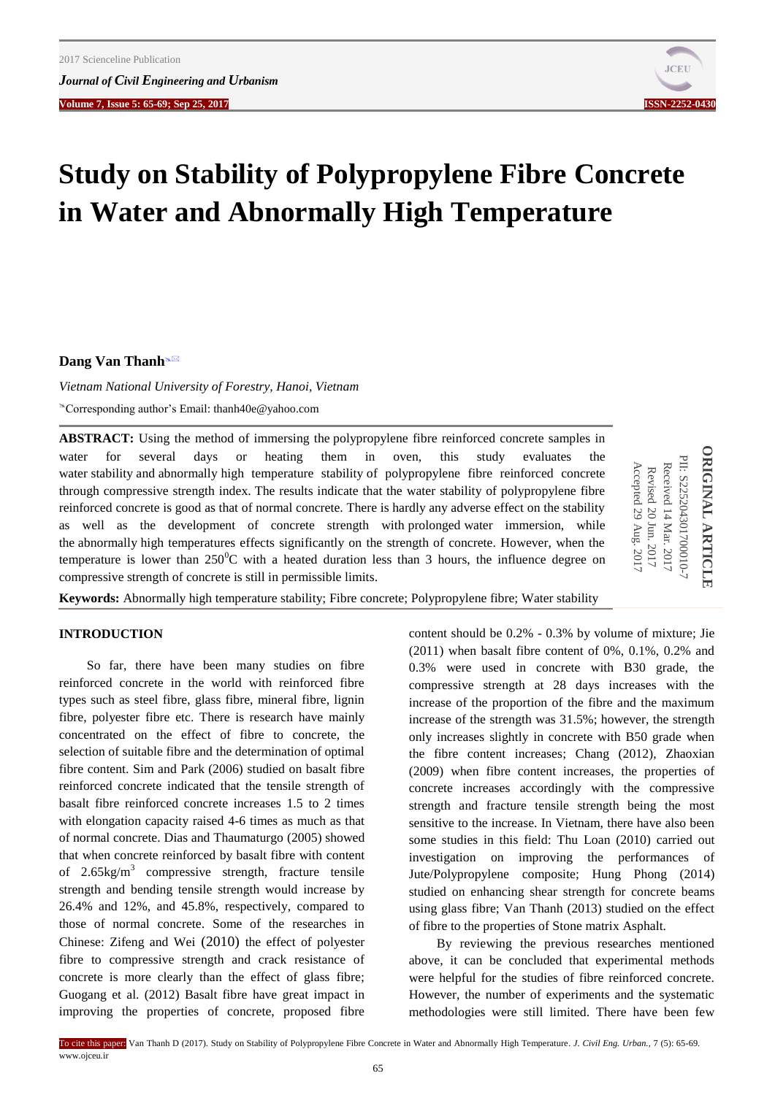**Volume 7, Issue 5: 65-69; Sep 25, 2017****ISSN-2252-0430**



# **Study on Stability of Polypropylene Fibre Concrete in Water and Abnormally High Temperature**

**Dang Van Thanh**<sup>®⊠</sup>

*Vietnam National University of Forestry, Hanoi, Vietnam* Corresponding author's Email: thanh40e@yahoo.com

**ABSTRACT:** Using the method of immersing the polypropylene fibre reinforced concrete samples in water for several days or heating them in oven, this study evaluates the water stability and abnormally high temperature stability of polypropylene fibre reinforced concrete through compressive strength index. The results indicate that the water stability of polypropylene fibre reinforced concrete is good as that of normal concrete. There is hardly any adverse effect on the stability as well as the development of concrete strength with prolonged water immersion, while the abnormally high temperatures effects significantly on the strength of concrete. However, when the temperature is lower than  $250^{\circ}$ C with a heated duration less than 3 hours, the influence degree on compressive strength of concrete is still in permissible limits.

**ORIGINAL ARTICLI ORIGINAL ARTICLE** PII: S225204301700010-PII: S225204301700010-7 Received 14 Mar. 2017 Received 14 Revised 20 Jun. 2017 Mar. 2017

Accepted 29 Accepted 29 Aug. 201

**Keywords:** Abnormally high temperature stability; Fibre concrete; Polypropylene fibre; Water stability

# **INTRODUCTION**

So far, there have been many studies on fibre reinforced concrete in the world with reinforced fibre types such as steel fibre, glass fibre, mineral fibre, lignin fibre, polyester fibre etc. There is research have mainly concentrated on the effect of fibre to concrete, the selection of suitable fibre and the determination of optimal fibre content. Sim and Park (2006) studied on basalt fibre reinforced concrete indicated that the tensile strength of basalt fibre reinforced concrete increases 1.5 to 2 times with elongation capacity raised 4-6 times as much as that of normal concrete. Dias and Thaumaturgo (2005) showed that when concrete reinforced by basalt fibre with content of  $2.65 \text{kg/m}^3$  compressive strength, fracture tensile strength and bending tensile strength would increase by 26.4% and 12%, and 45.8%, respectively, compared to those of normal concrete. Some of the researches in Chinese: Zifeng and Wei (2010) the effect of polyester fibre to compressive strength and crack resistance of concrete is more clearly than the effect of glass fibre; Guogang et al. (2012) Basalt fibre have great impact in improving the properties of concrete, proposed fibre

content should be 0.2% - 0.3% by volume of mixture; Jie (2011) when basalt fibre content of 0%, 0.1%, 0.2% and 0.3% were used in concrete with B30 grade, the compressive strength at 28 days increases with the increase of the proportion of the fibre and the maximum increase of the strength was 31.5%; however, the strength only increases slightly in concrete with B50 grade when the fibre content increases; Chang (2012), Zhaoxian (2009) when fibre content increases, the properties of concrete increases accordingly with the compressive strength and fracture tensile strength being the most sensitive to the increase. In Vietnam, there have also been some studies in this field: Thu Loan (2010) carried out investigation on improving the performances of Jute/Polypropylene composite; Hung Phong (2014) studied on enhancing shear strength for concrete beams using glass fibre; Van Thanh (2013) studied on the effect of fibre to the properties of Stone matrix Asphalt.

By reviewing the previous researches mentioned above, it can be concluded that experimental methods were helpful for the studies of fibre reinforced concrete. However, the number of experiments and the systematic methodologies were still limited. There have been few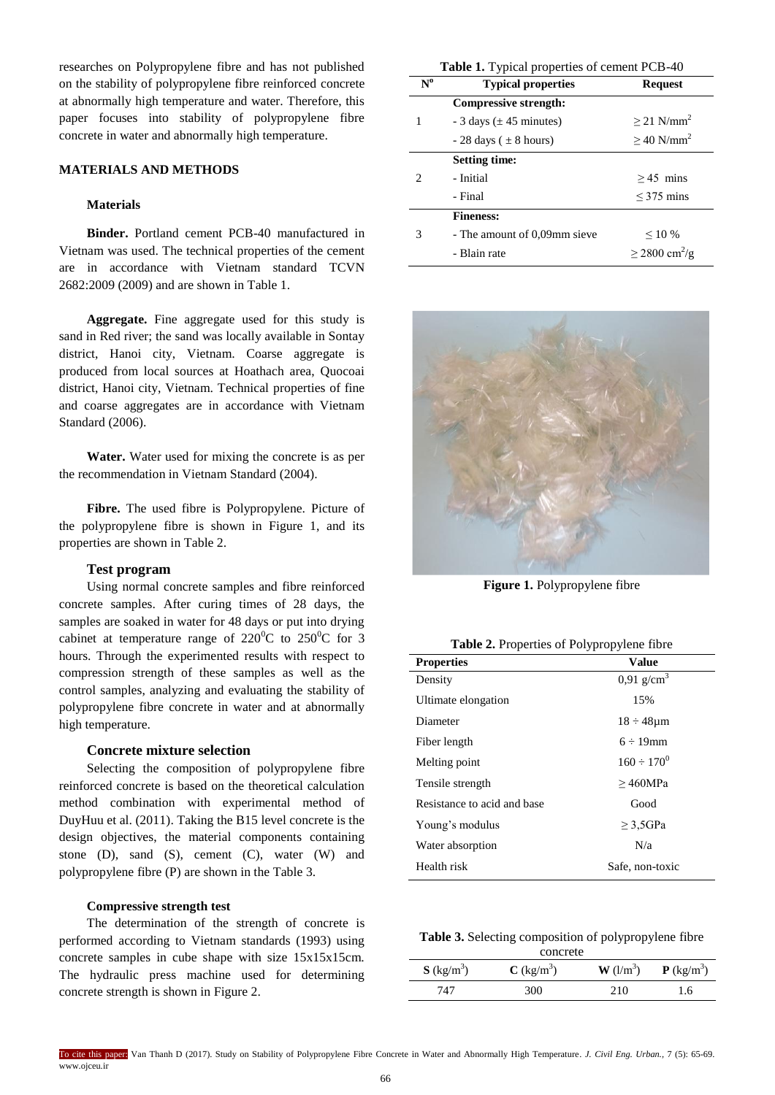researches on Polypropylene fibre and has not published on the stability of polypropylene fibre reinforced concrete at abnormally high temperature and water. Therefore, this paper focuses into stability of polypropylene fibre concrete in water and abnormally high temperature.

## **MATERIALS AND METHODS**

#### **Materials**

**Binder.** Portland cement PCB-40 manufactured in Vietnam was used. The technical properties of the cement are in accordance with Vietnam standard TCVN 2682:2009 (2009) and are shown in Table 1.

**Aggregate.** Fine aggregate used for this study is sand in Red river; the sand was locally available in Sontay district, Hanoi city, Vietnam. Coarse aggregate is produced from local sources at Hoathach area, Quocoai district, Hanoi city, Vietnam. Technical properties of fine and coarse aggregates are in accordance with Vietnam Standard (2006).

**Water.** Water used for mixing the concrete is as per the recommendation in Vietnam Standard (2004).

**Fibre.** The used fibre is Polypropylene. Picture of the polypropylene fibre is shown in Figure 1, and its properties are shown in Table 2.

#### **Test program**

Using normal concrete samples and fibre reinforced concrete samples. After curing times of 28 days, the samples are soaked in water for 48 days or put into drying cabinet at temperature range of  $220^{\circ}$ C to  $250^{\circ}$ C for 3 hours. Through the experimented results with respect to compression strength of these samples as well as the control samples, analyzing and evaluating the stability of polypropylene fibre concrete in water and at abnormally high temperature.

#### **Concrete mixture selection**

Selecting the composition of polypropylene fibre reinforced concrete is based on the theoretical calculation method combination with experimental method of DuyHuu et al. (2011). Taking the B15 level concrete is the design objectives, the material components containing stone  $(D)$ , sand  $(S)$ , cement  $(C)$ , water  $(W)$  and polypropylene fibre (P) are shown in the Table 3.

## **Compressive strength test**

The determination of the strength of concrete is performed according to Vietnam standards (1993) using concrete samples in cube shape with size 15x15x15cm. The hydraulic press machine used for determining concrete strength is shown in Figure 2.

| Table 1. Typical properties of cement PCB-40 |                               |                                |  |  |
|----------------------------------------------|-------------------------------|--------------------------------|--|--|
| $N^0$                                        | <b>Typical properties</b>     | <b>Request</b>                 |  |  |
|                                              | <b>Compressive strength:</b>  |                                |  |  |
| 1                                            | $-3$ days ( $\pm$ 45 minutes) | $>$ 21 N/mm <sup>2</sup>       |  |  |
|                                              | $-28$ days ( $\pm 8$ hours)   | $\geq$ 40 N/mm <sup>2</sup>    |  |  |
|                                              | <b>Setting time:</b>          |                                |  |  |
| $\mathcal{D}_{\mathcal{L}}$                  | - Initial                     | $>45$ mins                     |  |  |
|                                              | - Final                       | $\leq$ 375 mins                |  |  |
|                                              | <b>Fineness:</b>              |                                |  |  |
| 3                                            | - The amount of 0,09mm sieve  | ${}_{10\%}$                    |  |  |
|                                              | - Blain rate                  | $\geq$ 2800 cm <sup>2</sup> /g |  |  |



**Figure 1.** Polypropylene fibre

| Table 2. Properties of Polypropylene fibre |  |
|--------------------------------------------|--|
|--------------------------------------------|--|

| <b>Properties</b>           | <b>Value</b>             |
|-----------------------------|--------------------------|
| Density                     | $0.91$ g/cm <sup>3</sup> |
| Ultimate elongation         | 15%                      |
| Diameter                    | $18 \div 48 \mu m$       |
| Fiber length                | $6 \div 19$ mm           |
| Melting point               | $160 \div 170^{0}$       |
| Tensile strength            | >460MPa                  |
| Resistance to acid and base | Good                     |
| Young's modulus             | $\geq$ 3.5GPa            |
| Water absorption            | N/a                      |
| Health risk                 | Safe, non-toxic          |

## **Table 3.** Selecting composition of polypropylene fibre

| concrete                 |                          |                                  |                          |  |  |
|--------------------------|--------------------------|----------------------------------|--------------------------|--|--|
| $S$ (kg/m <sup>3</sup> ) | $C$ (kg/m <sup>3</sup> ) | $\mathbf{W}$ (l/m <sup>3</sup> ) | $P$ (kg/m <sup>3</sup> ) |  |  |
| 747                      | 300                      | 210                              | 1.6                      |  |  |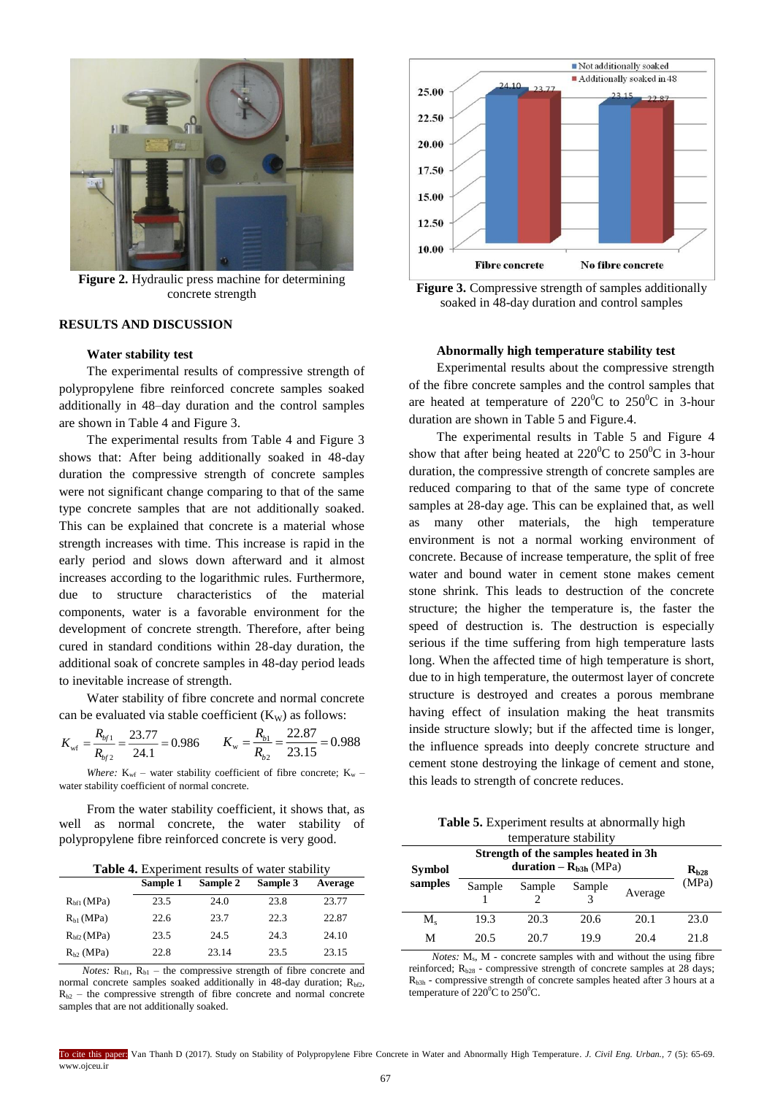

**Figure 2.** Hydraulic press machine for determining concrete strength

## **RESULTS AND DISCUSSION**

## **Water stability test**

The experimental results of compressive strength of polypropylene fibre reinforced concrete samples soaked additionally in 48–day duration and the control samples are shown in Table 4 and Figure 3.

The experimental results from Table 4 and Figure 3 shows that: After being additionally soaked in 48-day duration the compressive strength of concrete samples were not significant change comparing to that of the same type concrete samples that are not additionally soaked. This can be explained that concrete is a material whose strength increases with time. This increase is rapid in the early period and slows down afterward and it almost increases according to the logarithmic rules. Furthermore, due to structure characteristics of the material components, water is a favorable environment for the development of concrete strength. Therefore, after being cured in standard conditions within 28-day duration, the additional soak of concrete samples in 48-day period leads to inevitable increase of strength.

Water stability of fibre concrete and normal concrete can be evaluated via stable coefficient  $(K_W)$  as follows:

$$
K_{\rm wf} = \frac{R_{b/1}}{R_{b/2}} = \frac{23.77}{24.1} = 0.986 \qquad K_{\rm w} = \frac{R_{b1}}{R_{b2}} = \frac{22.87}{23.15} = 0.988
$$

*Where:*  $K_{wf}$  – water stability coefficient of fibre concrete;  $K_w$  – water stability coefficient of normal concrete.

From the water stability coefficient, it shows that, as well as normal concrete, the water stability polypropylene fibre reinforced concrete is very good.

| Table 4. Experiment results of water stability |  |
|------------------------------------------------|--|
|------------------------------------------------|--|

|                        | Sample 1 | Sample 2 | Sample 3 | Average |
|------------------------|----------|----------|----------|---------|
| R <sub>bf1</sub> (MPa) | 23.5     | 24.0     | 23.8     | 23.77   |
| $R_{h1}$ (MPa)         | 22.6     | 23.7     | 22.3     | 22.87   |
| $Rhf2$ (MPa)           | 23.5     | 24.5     | 24.3     | 24.10   |
| $R_{h2}$ (MPa)         | 22.8     | 23.14    | 23.5     | 23.15   |

*Notes:*  $R_{b1}$ ,  $R_{b1}$  – the compressive strength of fibre concrete and normal concrete samples soaked additionally in 48-day duration;  $R_{h2}$ ,  $R_{b2}$  – the compressive strength of fibre concrete and normal concrete samples that are not additionally soaked.



**Figure 3.** Compressive strength of samples additionally soaked in 48-day duration and control samples

## **Abnormally high temperature stability test**

Experimental results about the compressive strength of the fibre concrete samples and the control samples that are heated at temperature of  $220^{\circ}$ C to  $250^{\circ}$ C in 3-hour duration are shown in Table 5 and Figure.4.

The experimental results in Table 5 and Figure 4 show that after being heated at  $220^{\circ}$ C to  $250^{\circ}$ C in 3-hour duration, the compressive strength of concrete samples are reduced comparing to that of the same type of concrete samples at 28-day age. This can be explained that, as well as many other materials, the high temperature environment is not a normal working environment of concrete. Because of increase temperature, the split of free water and bound water in cement stone makes cement stone shrink. This leads to destruction of the concrete structure; the higher the temperature is, the faster the speed of destruction is. The destruction is especially serious if the time suffering from high temperature lasts long. When the affected time of high temperature is short, due to in high temperature, the outermost layer of concrete structure is destroyed and creates a porous membrane having effect of insulation making the heat transmits inside structure slowly; but if the affected time is longer, the influence spreads into deeply concrete structure and cement stone destroying the linkage of cement and stone, this leads to strength of concrete reduces.

| <b>Table 5.</b> Experiment results at abnormally high |  |
|-------------------------------------------------------|--|
| temperature stability                                 |  |

| Symbol      | Strength of the samples heated in 3h.<br>duration – $R_{h3h}$ (MPa) |        |        |         | $R_{h28}$ |
|-------------|---------------------------------------------------------------------|--------|--------|---------|-----------|
| samples     | Sample                                                              | Sample | Sample | Average | (MPa)     |
| $M_{\rm c}$ | 19.3                                                                | 20.3   | 20.6   | 20.1    | 23.0      |
| М           | 20.5                                                                | 20.7   | 19.9   | 20.4    | 21.8      |

*Notes:*  $M_s$ ,  $M$  - concrete samples with and without the using fibre reinforced;  $R_{b28}$  - compressive strength of concrete samples at 28 days;  $R_{b3h}$  - compressive strength of concrete samples heated after 3 hours at a temperature of 220 $\mathrm{^0C}$  to 250 $\mathrm{^0C}$ .

To cite this paper: Van Thanh D (2017). Study on Stability of Polypropylene Fibre Concrete in Water and Abnormally High Temperature. *J. Civil Eng. Urban.,* 7 (5): 65-69. www.ojceu.ir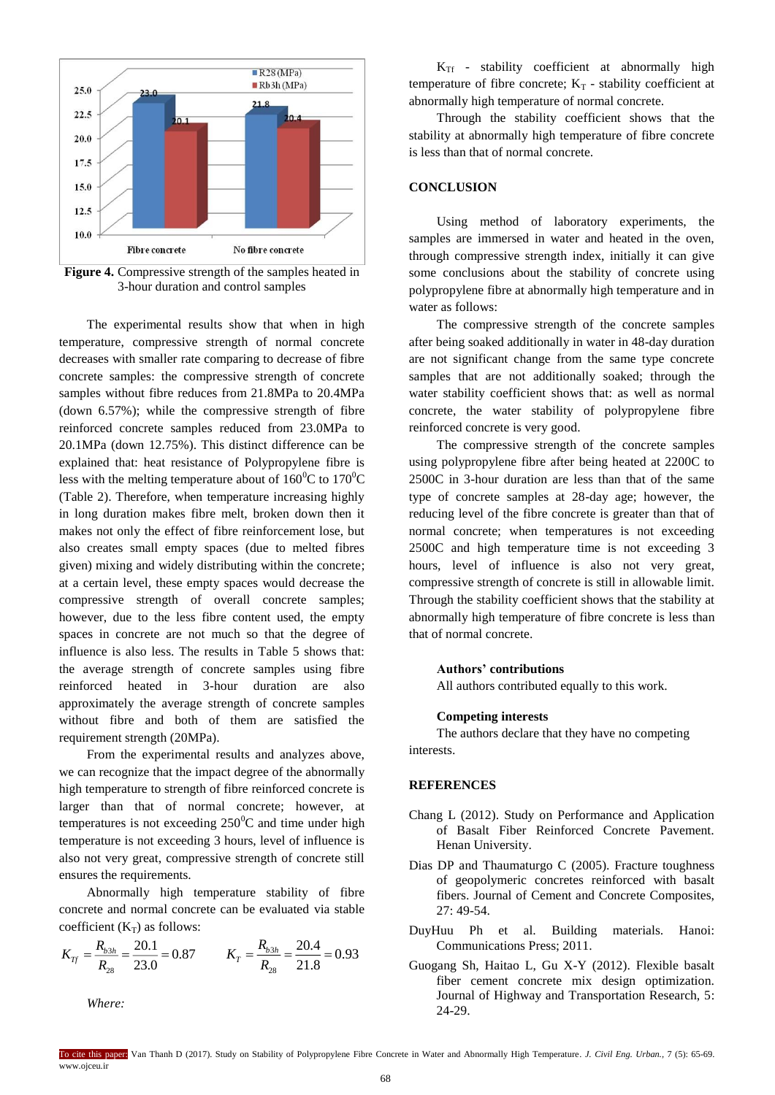

**Figure 4.** Compressive strength of the samples heated in 3-hour duration and control samples

The experimental results show that when in high temperature, compressive strength of normal concrete decreases with smaller rate comparing to decrease of fibre concrete samples: the compressive strength of concrete samples without fibre reduces from 21.8MPa to 20.4MPa (down 6.57%); while the compressive strength of fibre reinforced concrete samples reduced from 23.0MPa to 20.1MPa (down 12.75%). This distinct difference can be explained that: heat resistance of Polypropylene fibre is less with the melting temperature about of  $160^{\circ}$ C to  $170^{\circ}$ C (Table 2). Therefore, when temperature increasing highly in long duration makes fibre melt, broken down then it makes not only the effect of fibre reinforcement lose, but also creates small empty spaces (due to melted fibres given) mixing and widely distributing within the concrete; at a certain level, these empty spaces would decrease the compressive strength of overall concrete samples; however, due to the less fibre content used, the empty spaces in concrete are not much so that the degree of influence is also less. The results in Table 5 shows that: the average strength of concrete samples using fibre reinforced heated in 3-hour duration are also approximately the average strength of concrete samples without fibre and both of them are satisfied the requirement strength (20MPa).

From the experimental results and analyzes above, we can recognize that the impact degree of the abnormally high temperature to strength of fibre reinforced concrete is larger than that of normal concrete; however, at temperatures is not exceeding  $250^{\circ}$ C and time under high temperature is not exceeding 3 hours, level of influence is also not very great, compressive strength of concrete still ensures the requirements.

Abnormally high temperature stability of fibre concrete and normal concrete can be evaluated via stable coefficient  $(K_T)$  as follows:

$$
K_{Tf} = \frac{R_{b3h}}{R_{28}} = \frac{20.1}{23.0} = 0.87 \qquad K_T = \frac{R_{b3h}}{R_{28}} = \frac{20.4}{21.8} = 0.93
$$

*Where:*

 $K<sub>Tf</sub>$  - stability coefficient at abnormally high temperature of fibre concrete;  $K_T$  - stability coefficient at abnormally high temperature of normal concrete.

Through the stability coefficient shows that the stability at abnormally high temperature of fibre concrete is less than that of normal concrete.

## **CONCLUSION**

Using method of laboratory experiments, the samples are immersed in water and heated in the oven, through compressive strength index, initially it can give some conclusions about the stability of concrete using polypropylene fibre at abnormally high temperature and in water as follows:

The compressive strength of the concrete samples after being soaked additionally in water in 48-day duration are not significant change from the same type concrete samples that are not additionally soaked; through the water stability coefficient shows that: as well as normal concrete, the water stability of polypropylene fibre reinforced concrete is very good.

The compressive strength of the concrete samples using polypropylene fibre after being heated at 2200C to 2500C in 3-hour duration are less than that of the same type of concrete samples at 28-day age; however, the reducing level of the fibre concrete is greater than that of normal concrete; when temperatures is not exceeding 2500C and high temperature time is not exceeding 3 hours, level of influence is also not very great. compressive strength of concrete is still in allowable limit. Through the stability coefficient shows that the stability at abnormally high temperature of fibre concrete is less than that of normal concrete.

#### **Authors' contributions**

All authors contributed equally to this work.

## **Competing interests**

The authors declare that they have no competing interests.

#### **REFERENCES**

- Chang L (2012). Study on Performance and Application of Basalt Fiber Reinforced Concrete Pavement. Henan University.
- Dias DP and Thaumaturgo C (2005). Fracture toughness of geopolymeric concretes reinforced with basalt fibers. Journal of Cement and Concrete Composites, 27: 49-54.
- DuyHuu Ph et al. Building materials. Hanoi: Communications Press; 2011.
- Guogang Sh, Haitao L, Gu X-Y (2012). Flexible basalt fiber cement concrete mix design optimization. Journal of Highway and Transportation Research, 5: 24-29.

To cite this paper: Van Thanh D (2017). Study on Stability of Polypropylene Fibre Concrete in Water and Abnormally High Temperature. *J. Civil Eng. Urban.,* 7 (5): 65-69. www.ojceu.ir